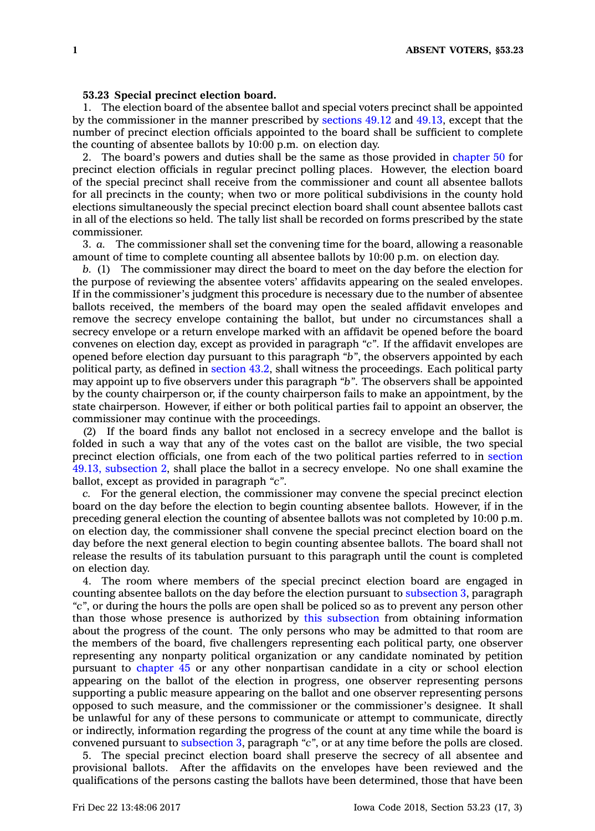## **53.23 Special precinct election board.**

1. The election board of the absentee ballot and special voters precinct shall be appointed by the commissioner in the manner prescribed by [sections](https://www.legis.iowa.gov/docs/code/49.12.pdf) 49.12 and [49.13](https://www.legis.iowa.gov/docs/code/49.13.pdf), except that the number of precinct election officials appointed to the board shall be sufficient to complete the counting of absentee ballots by  $10:00$  p.m. on election day.

2. The board's powers and duties shall be the same as those provided in [chapter](https://www.legis.iowa.gov/docs/code//50.pdf) 50 for precinct election officials in regular precinct polling places. However, the election board of the special precinct shall receive from the commissioner and count all absentee ballots for all precincts in the county; when two or more political subdivisions in the county hold elections simultaneously the special precinct election board shall count absentee ballots cast in all of the elections so held. The tally list shall be recorded on forms prescribed by the state commissioner.

3. *a.* The commissioner shall set the convening time for the board, allowing <sup>a</sup> reasonable amount of time to complete counting all absentee ballots by 10:00 p.m. on election day.

*b.* (1) The commissioner may direct the board to meet on the day before the election for the purpose of reviewing the absentee voters' affidavits appearing on the sealed envelopes. If in the commissioner's judgment this procedure is necessary due to the number of absentee ballots received, the members of the board may open the sealed affidavit envelopes and remove the secrecy envelope containing the ballot, but under no circumstances shall <sup>a</sup> secrecy envelope or <sup>a</sup> return envelope marked with an affidavit be opened before the board convenes on election day, except as provided in paragraph *"c"*. If the affidavit envelopes are opened before election day pursuant to this paragraph *"b"*, the observers appointed by each political party, as defined in [section](https://www.legis.iowa.gov/docs/code/43.2.pdf) 43.2, shall witness the proceedings. Each political party may appoint up to five observers under this paragraph *"b"*. The observers shall be appointed by the county chairperson or, if the county chairperson fails to make an appointment, by the state chairperson. However, if either or both political parties fail to appoint an observer, the commissioner may continue with the proceedings.

(2) If the board finds any ballot not enclosed in <sup>a</sup> secrecy envelope and the ballot is folded in such <sup>a</sup> way that any of the votes cast on the ballot are visible, the two special precinct election officials, one from each of the two political parties referred to in [section](https://www.legis.iowa.gov/docs/code/49.13.pdf) 49.13, [subsection](https://www.legis.iowa.gov/docs/code/49.13.pdf) 2, shall place the ballot in <sup>a</sup> secrecy envelope. No one shall examine the ballot, except as provided in paragraph *"c"*.

*c.* For the general election, the commissioner may convene the special precinct election board on the day before the election to begin counting absentee ballots. However, if in the preceding general election the counting of absentee ballots was not completed by 10:00 p.m. on election day, the commissioner shall convene the special precinct election board on the day before the next general election to begin counting absentee ballots. The board shall not release the results of its tabulation pursuant to this paragraph until the count is completed on election day.

4. The room where members of the special precinct election board are engaged in counting absentee ballots on the day before the election pursuant to [subsection](https://www.legis.iowa.gov/docs/code/53.23.pdf) 3, paragraph *"c"*, or during the hours the polls are open shall be policed so as to prevent any person other than those whose presence is authorized by this [subsection](https://www.legis.iowa.gov/docs/code/53.23.pdf) from obtaining information about the progress of the count. The only persons who may be admitted to that room are the members of the board, five challengers representing each political party, one observer representing any nonparty political organization or any candidate nominated by petition pursuant to [chapter](https://www.legis.iowa.gov/docs/code//45.pdf) 45 or any other nonpartisan candidate in <sup>a</sup> city or school election appearing on the ballot of the election in progress, one observer representing persons supporting <sup>a</sup> public measure appearing on the ballot and one observer representing persons opposed to such measure, and the commissioner or the commissioner's designee. It shall be unlawful for any of these persons to communicate or attempt to communicate, directly or indirectly, information regarding the progress of the count at any time while the board is convened pursuant to [subsection](https://www.legis.iowa.gov/docs/code/53.23.pdf) 3, paragraph *"c"*, or at any time before the polls are closed.

5. The special precinct election board shall preserve the secrecy of all absentee and provisional ballots. After the affidavits on the envelopes have been reviewed and the qualifications of the persons casting the ballots have been determined, those that have been